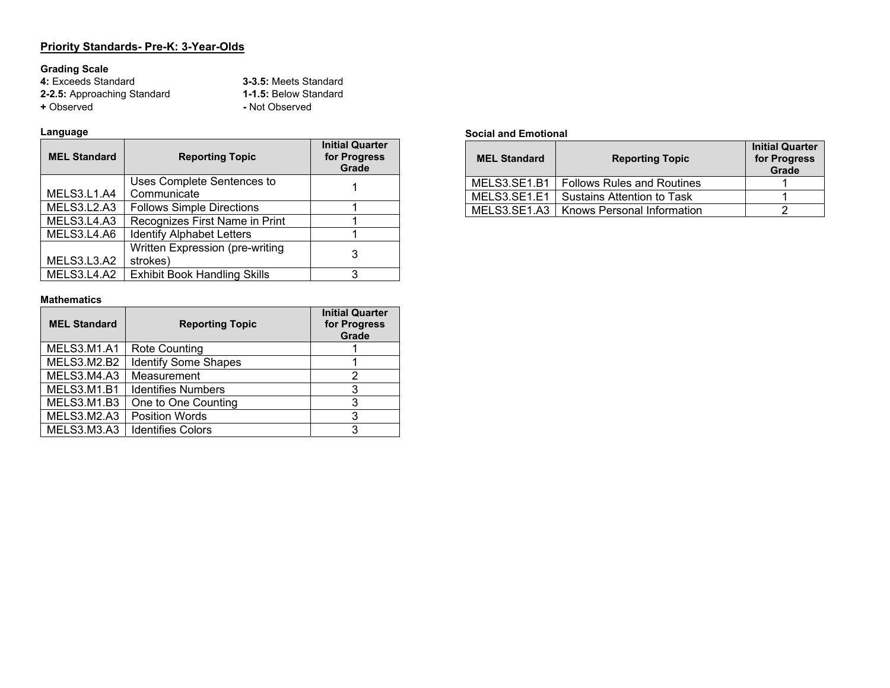#### **Priority Standards- Pre-K: 3-Year-Olds**

**Grading Scale 4:** Exceeds Standard **3-3.5:** Meets Standard **2-2.5:** Approaching Standard **1-1.5:** Below Standard **+** Observed **-** Not Observed

#### **Language**

| <b>MEL Standard</b> | <b>Reporting Topic</b>              | <b>Initial Quarter</b><br>for Progress<br>Grade |
|---------------------|-------------------------------------|-------------------------------------------------|
|                     | Uses Complete Sentences to          |                                                 |
| MELS3.L1.A4         | Communicate                         |                                                 |
| MELS3.L2.A3         | <b>Follows Simple Directions</b>    |                                                 |
| MELS3.L4.A3         | Recognizes First Name in Print      |                                                 |
| MELS3.L4.A6         | <b>Identify Alphabet Letters</b>    |                                                 |
|                     | Written Expression (pre-writing     |                                                 |
| MELS3.L3.A2         | strokes)                            |                                                 |
| MELS3.L4.A2         | <b>Exhibit Book Handling Skills</b> | 2                                               |

#### **Mathematics**

| <b>MEL Standard</b> | <b>Reporting Topic</b>      | <b>Initial Quarter</b><br>for Progress<br>Grade |
|---------------------|-----------------------------|-------------------------------------------------|
| <b>MELS3.M1.A1</b>  | Rote Counting               |                                                 |
| MELS3.M2.B2         | <b>Identify Some Shapes</b> |                                                 |
| MELS3.M4.A3         | Measurement                 | 2                                               |
| MELS3.M1.B1         | <b>Identifies Numbers</b>   | 3                                               |
| MELS3.M1.B3         | One to One Counting         | 3                                               |
| <b>MELS3.M2.A3</b>  | <b>Position Words</b>       | 3                                               |
| MELS3.M3.A3         | <b>Identifies Colors</b>    | 3                                               |

#### **Social and Emotional**

| <b>MEL Standard</b> | <b>Reporting Topic</b>                    | <b>Initial Quarter</b><br>for Progress<br>Grade |
|---------------------|-------------------------------------------|-------------------------------------------------|
| MELS3.SE1.B1        | <b>Follows Rules and Routines</b>         |                                                 |
| MELS3.SE1.E1        | Sustains Attention to Task                |                                                 |
|                     | MELS3.SE1.A3   Knows Personal Information |                                                 |